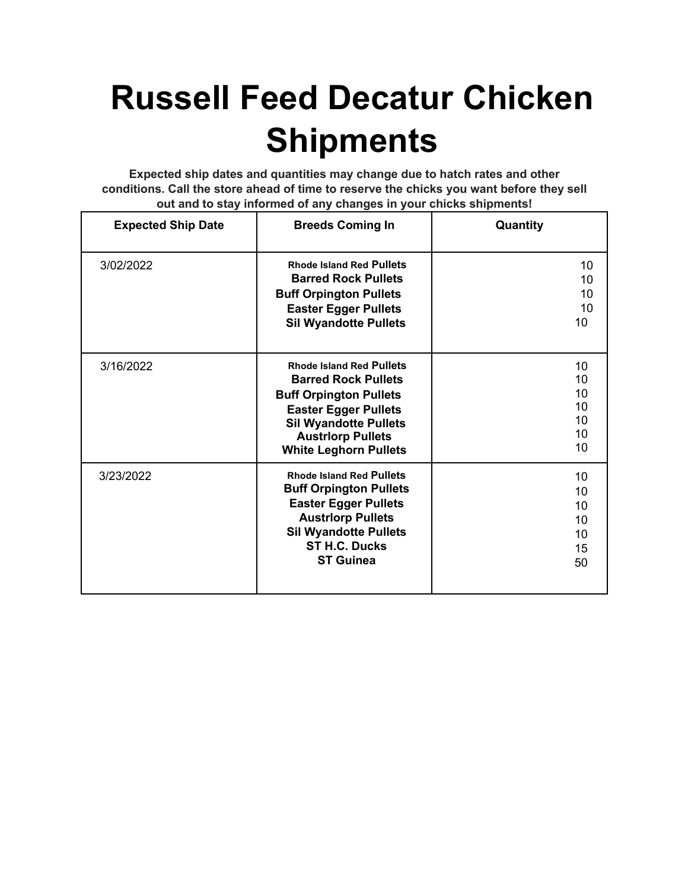## **Russell Feed Decatur Chicken Shipments**

**Expected ship dates and quantities may change due to hatch rates and other conditions. Call the store ahead of time to reserve the chicks you want before they sell out and to stay informed of any changes in your chicks shipments!**

| <b>Expected Ship Date</b> | <b>Breeds Coming In</b>                                                                                                                                                                                                   | Quantity                               |
|---------------------------|---------------------------------------------------------------------------------------------------------------------------------------------------------------------------------------------------------------------------|----------------------------------------|
| 3/02/2022                 | <b>Rhode Island Red Pullets</b><br><b>Barred Rock Pullets</b><br><b>Buff Orpington Pullets</b><br><b>Easter Egger Pullets</b><br><b>Sil Wyandotte Pullets</b>                                                             | 10<br>10<br>10<br>10<br>10             |
| 3/16/2022                 | <b>Rhode Island Red Pullets</b><br><b>Barred Rock Pullets</b><br><b>Buff Orpington Pullets</b><br><b>Easter Egger Pullets</b><br><b>Sil Wyandotte Pullets</b><br><b>Austriorp Pullets</b><br><b>White Leghorn Pullets</b> | 10<br>10<br>10<br>10<br>10<br>10<br>10 |
| 3/23/2022                 | <b>Rhode Island Red Pullets</b><br><b>Buff Orpington Pullets</b><br><b>Easter Egger Pullets</b><br><b>Austriorp Pullets</b><br><b>Sil Wyandotte Pullets</b><br><b>ST H.C. Ducks</b><br><b>ST Guinea</b>                   | 10<br>10<br>10<br>10<br>10<br>15<br>50 |